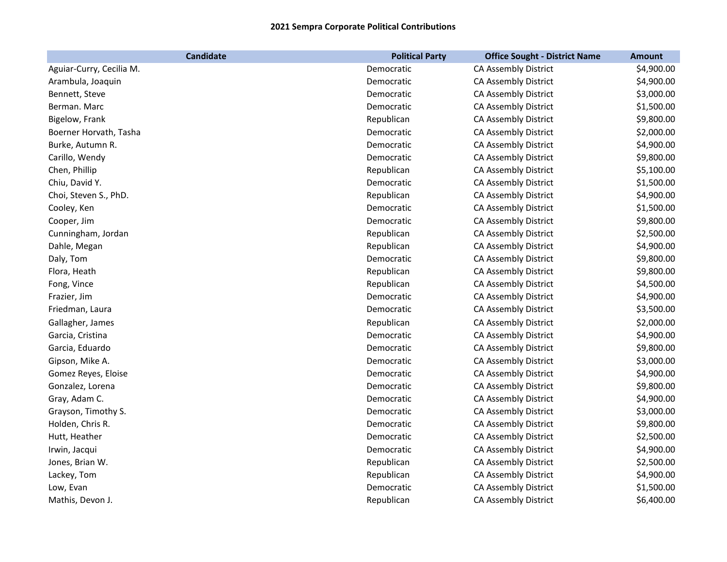| <b>Candidate</b>         | <b>Political Party</b> | <b>Office Sought - District Name</b> | <b>Amount</b> |
|--------------------------|------------------------|--------------------------------------|---------------|
| Aguiar-Curry, Cecilia M. | Democratic             | CA Assembly District                 | \$4,900.00    |
| Arambula, Joaquin        | Democratic             | CA Assembly District                 | \$4,900.00    |
| Bennett, Steve           | Democratic             | CA Assembly District                 | \$3,000.00    |
| Berman. Marc             | Democratic             | CA Assembly District                 | \$1,500.00    |
| Bigelow, Frank           | Republican             | CA Assembly District                 | \$9,800.00    |
| Boerner Horvath, Tasha   | Democratic             | CA Assembly District                 | \$2,000.00    |
| Burke, Autumn R.         | Democratic             | CA Assembly District                 | \$4,900.00    |
| Carillo, Wendy           | Democratic             | CA Assembly District                 | \$9,800.00    |
| Chen, Phillip            | Republican             | CA Assembly District                 | \$5,100.00    |
| Chiu, David Y.           | Democratic             | CA Assembly District                 | \$1,500.00    |
| Choi, Steven S., PhD.    | Republican             | CA Assembly District                 | \$4,900.00    |
| Cooley, Ken              | Democratic             | CA Assembly District                 | \$1,500.00    |
| Cooper, Jim              | Democratic             | CA Assembly District                 | \$9,800.00    |
| Cunningham, Jordan       | Republican             | CA Assembly District                 | \$2,500.00    |
| Dahle, Megan             | Republican             | CA Assembly District                 | \$4,900.00    |
| Daly, Tom                | Democratic             | CA Assembly District                 | \$9,800.00    |
| Flora, Heath             | Republican             | CA Assembly District                 | \$9,800.00    |
| Fong, Vince              | Republican             | CA Assembly District                 | \$4,500.00    |
| Frazier, Jim             | Democratic             | CA Assembly District                 | \$4,900.00    |
| Friedman, Laura          | Democratic             | CA Assembly District                 | \$3,500.00    |
| Gallagher, James         | Republican             | CA Assembly District                 | \$2,000.00    |
| Garcia, Cristina         | Democratic             | CA Assembly District                 | \$4,900.00    |
| Garcia, Eduardo          | Democratic             | CA Assembly District                 | \$9,800.00    |
| Gipson, Mike A.          | Democratic             | CA Assembly District                 | \$3,000.00    |
| Gomez Reyes, Eloise      | Democratic             | CA Assembly District                 | \$4,900.00    |
| Gonzalez, Lorena         | Democratic             | CA Assembly District                 | \$9,800.00    |
| Gray, Adam C.            | Democratic             | CA Assembly District                 | \$4,900.00    |
| Grayson, Timothy S.      | Democratic             | CA Assembly District                 | \$3,000.00    |
| Holden, Chris R.         | Democratic             | CA Assembly District                 | \$9,800.00    |
| Hutt, Heather            | Democratic             | CA Assembly District                 | \$2,500.00    |
| Irwin, Jacqui            | Democratic             | CA Assembly District                 | \$4,900.00    |
| Jones, Brian W.          | Republican             | CA Assembly District                 | \$2,500.00    |
| Lackey, Tom              | Republican             | CA Assembly District                 | \$4,900.00    |
| Low, Evan                | Democratic             | CA Assembly District                 | \$1,500.00    |
| Mathis, Devon J.         | Republican             | CA Assembly District                 | \$6,400.00    |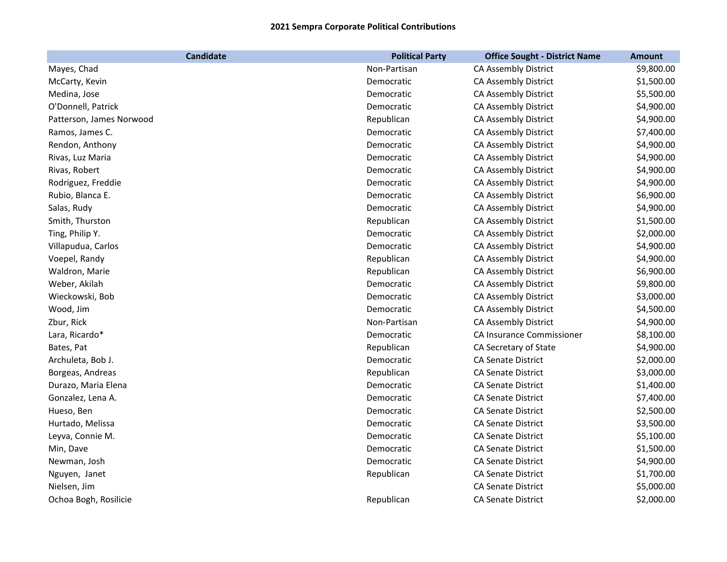| <b>Candidate</b>         | <b>Political Party</b> | <b>Office Sought - District Name</b> | <b>Amount</b> |
|--------------------------|------------------------|--------------------------------------|---------------|
| Mayes, Chad              | Non-Partisan           | CA Assembly District                 | \$9,800.00    |
| McCarty, Kevin           | Democratic             | CA Assembly District                 | \$1,500.00    |
| Medina, Jose             | Democratic             | CA Assembly District                 | \$5,500.00    |
| O'Donnell, Patrick       | Democratic             | CA Assembly District                 | \$4,900.00    |
| Patterson, James Norwood | Republican             | CA Assembly District                 | \$4,900.00    |
| Ramos, James C.          | Democratic             | CA Assembly District                 | \$7,400.00    |
| Rendon, Anthony          | Democratic             | CA Assembly District                 | \$4,900.00    |
| Rivas, Luz Maria         | Democratic             | CA Assembly District                 | \$4,900.00    |
| Rivas, Robert            | Democratic             | CA Assembly District                 | \$4,900.00    |
| Rodriguez, Freddie       | Democratic             | CA Assembly District                 | \$4,900.00    |
| Rubio, Blanca E.         | Democratic             | CA Assembly District                 | \$6,900.00    |
| Salas, Rudy              | Democratic             | CA Assembly District                 | \$4,900.00    |
| Smith, Thurston          | Republican             | CA Assembly District                 | \$1,500.00    |
| Ting, Philip Y.          | Democratic             | CA Assembly District                 | \$2,000.00    |
| Villapudua, Carlos       | Democratic             | CA Assembly District                 | \$4,900.00    |
| Voepel, Randy            | Republican             | CA Assembly District                 | \$4,900.00    |
| Waldron, Marie           | Republican             | CA Assembly District                 | \$6,900.00    |
| Weber, Akilah            | Democratic             | CA Assembly District                 | \$9,800.00    |
| Wieckowski, Bob          | Democratic             | <b>CA Assembly District</b>          | \$3,000.00    |
| Wood, Jim                | Democratic             | CA Assembly District                 | \$4,500.00    |
| Zbur, Rick               | Non-Partisan           | CA Assembly District                 | \$4,900.00    |
| Lara, Ricardo*           | Democratic             | CA Insurance Commissioner            | \$8,100.00    |
| Bates, Pat               | Republican             | CA Secretary of State                | \$4,900.00    |
| Archuleta, Bob J.        | Democratic             | CA Senate District                   | \$2,000.00    |
| Borgeas, Andreas         | Republican             | <b>CA Senate District</b>            | \$3,000.00    |
| Durazo, Maria Elena      | Democratic             | <b>CA Senate District</b>            | \$1,400.00    |
| Gonzalez, Lena A.        | Democratic             | <b>CA Senate District</b>            | \$7,400.00    |
| Hueso, Ben               | Democratic             | CA Senate District                   | \$2,500.00    |
| Hurtado, Melissa         | Democratic             | <b>CA Senate District</b>            | \$3,500.00    |
| Leyva, Connie M.         | Democratic             | <b>CA Senate District</b>            | \$5,100.00    |
| Min, Dave                | Democratic             | <b>CA Senate District</b>            | \$1,500.00    |
| Newman, Josh             | Democratic             | <b>CA Senate District</b>            | \$4,900.00    |
| Nguyen, Janet            | Republican             | <b>CA Senate District</b>            | \$1,700.00    |
| Nielsen, Jim             |                        | <b>CA Senate District</b>            | \$5,000.00    |
| Ochoa Bogh, Rosilicie    | Republican             | <b>CA Senate District</b>            | \$2,000.00    |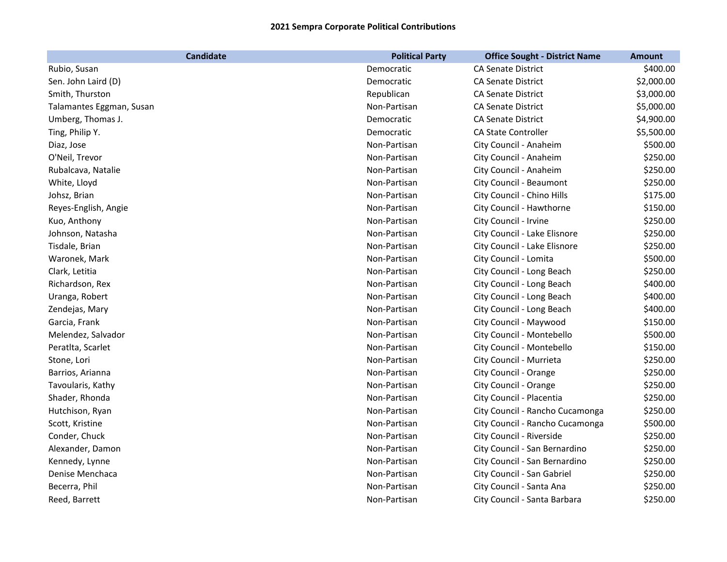| <b>Candidate</b>         | <b>Political Party</b> | <b>Office Sought - District Name</b> | <b>Amount</b> |
|--------------------------|------------------------|--------------------------------------|---------------|
| Rubio, Susan             | Democratic             | CA Senate District                   | \$400.00      |
| Sen. John Laird (D)      | Democratic             | <b>CA Senate District</b>            | \$2,000.00    |
| Smith, Thurston          | Republican             | <b>CA Senate District</b>            | \$3,000.00    |
| Talamantes Eggman, Susan | Non-Partisan           | <b>CA Senate District</b>            | \$5,000.00    |
| Umberg, Thomas J.        | Democratic             | <b>CA Senate District</b>            | \$4,900.00    |
| Ting, Philip Y.          | Democratic             | CA State Controller                  | \$5,500.00    |
| Diaz, Jose               | Non-Partisan           | City Council - Anaheim               | \$500.00      |
| O'Neil, Trevor           | Non-Partisan           | City Council - Anaheim               | \$250.00      |
| Rubalcava, Natalie       | Non-Partisan           | City Council - Anaheim               | \$250.00      |
| White, Lloyd             | Non-Partisan           | City Council - Beaumont              | \$250.00      |
| Johsz, Brian             | Non-Partisan           | City Council - Chino Hills           | \$175.00      |
| Reyes-English, Angie     | Non-Partisan           | City Council - Hawthorne             | \$150.00      |
| Kuo, Anthony             | Non-Partisan           | City Council - Irvine                | \$250.00      |
| Johnson, Natasha         | Non-Partisan           | City Council - Lake Elisnore         | \$250.00      |
| Tisdale, Brian           | Non-Partisan           | City Council - Lake Elisnore         | \$250.00      |
| Waronek, Mark            | Non-Partisan           | City Council - Lomita                | \$500.00      |
| Clark, Letitia           | Non-Partisan           | City Council - Long Beach            | \$250.00      |
| Richardson, Rex          | Non-Partisan           | City Council - Long Beach            | \$400.00      |
| Uranga, Robert           | Non-Partisan           | City Council - Long Beach            | \$400.00      |
| Zendejas, Mary           | Non-Partisan           | City Council - Long Beach            | \$400.00      |
| Garcia, Frank            | Non-Partisan           | City Council - Maywood               | \$150.00      |
| Melendez, Salvador       | Non-Partisan           | City Council - Montebello            | \$500.00      |
| Peratlta, Scarlet        | Non-Partisan           | City Council - Montebello            | \$150.00      |
| Stone, Lori              | Non-Partisan           | City Council - Murrieta              | \$250.00      |
| Barrios, Arianna         | Non-Partisan           | City Council - Orange                | \$250.00      |
| Tavoularis, Kathy        | Non-Partisan           | City Council - Orange                | \$250.00      |
| Shader, Rhonda           | Non-Partisan           | City Council - Placentia             | \$250.00      |
| Hutchison, Ryan          | Non-Partisan           | City Council - Rancho Cucamonga      | \$250.00      |
| Scott, Kristine          | Non-Partisan           | City Council - Rancho Cucamonga      | \$500.00      |
| Conder, Chuck            | Non-Partisan           | City Council - Riverside             | \$250.00      |
| Alexander, Damon         | Non-Partisan           | City Council - San Bernardino        | \$250.00      |
| Kennedy, Lynne           | Non-Partisan           | City Council - San Bernardino        | \$250.00      |
| Denise Menchaca          | Non-Partisan           | City Council - San Gabriel           | \$250.00      |
| Becerra, Phil            | Non-Partisan           | City Council - Santa Ana             | \$250.00      |
| Reed, Barrett            | Non-Partisan           | City Council - Santa Barbara         | \$250.00      |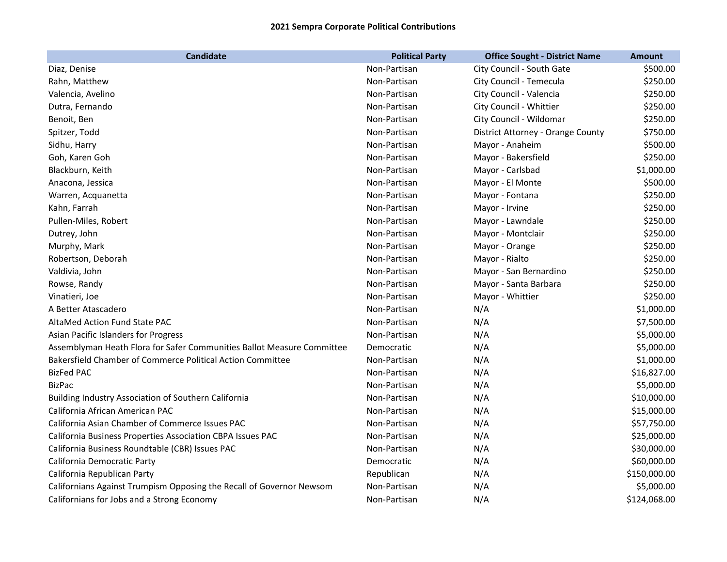| <b>Candidate</b>                                                       | <b>Political Party</b> | <b>Office Sought - District Name</b> | <b>Amount</b> |
|------------------------------------------------------------------------|------------------------|--------------------------------------|---------------|
| Diaz, Denise                                                           | Non-Partisan           | City Council - South Gate            | \$500.00      |
| Rahn, Matthew                                                          | Non-Partisan           | City Council - Temecula              | \$250.00      |
| Valencia, Avelino                                                      | Non-Partisan           | City Council - Valencia              | \$250.00      |
| Dutra, Fernando                                                        | Non-Partisan           | City Council - Whittier              | \$250.00      |
| Benoit, Ben                                                            | Non-Partisan           | City Council - Wildomar              | \$250.00      |
| Spitzer, Todd                                                          | Non-Partisan           | District Attorney - Orange County    | \$750.00      |
| Sidhu, Harry                                                           | Non-Partisan           | Mayor - Anaheim                      | \$500.00      |
| Goh, Karen Goh                                                         | Non-Partisan           | Mayor - Bakersfield                  | \$250.00      |
| Blackburn, Keith                                                       | Non-Partisan           | Mayor - Carlsbad                     | \$1,000.00    |
| Anacona, Jessica                                                       | Non-Partisan           | Mayor - El Monte                     | \$500.00      |
| Warren, Acquanetta                                                     | Non-Partisan           | Mayor - Fontana                      | \$250.00      |
| Kahn, Farrah                                                           | Non-Partisan           | Mayor - Irvine                       | \$250.00      |
| Pullen-Miles, Robert                                                   | Non-Partisan           | Mayor - Lawndale                     | \$250.00      |
| Dutrey, John                                                           | Non-Partisan           | Mayor - Montclair                    | \$250.00      |
| Murphy, Mark                                                           | Non-Partisan           | Mayor - Orange                       | \$250.00      |
| Robertson, Deborah                                                     | Non-Partisan           | Mayor - Rialto                       | \$250.00      |
| Valdivia, John                                                         | Non-Partisan           | Mayor - San Bernardino               | \$250.00      |
| Rowse, Randy                                                           | Non-Partisan           | Mayor - Santa Barbara                | \$250.00      |
| Vinatieri, Joe                                                         | Non-Partisan           | Mayor - Whittier                     | \$250.00      |
| A Better Atascadero                                                    | Non-Partisan           | N/A                                  | \$1,000.00    |
| AltaMed Action Fund State PAC                                          | Non-Partisan           | N/A                                  | \$7,500.00    |
| Asian Pacific Islanders for Progress                                   | Non-Partisan           | N/A                                  | \$5,000.00    |
| Assemblyman Heath Flora for Safer Communities Ballot Measure Committee | Democratic             | N/A                                  | \$5,000.00    |
| Bakersfield Chamber of Commerce Political Action Committee             | Non-Partisan           | N/A                                  | \$1,000.00    |
| <b>BizFed PAC</b>                                                      | Non-Partisan           | N/A                                  | \$16,827.00   |
| <b>BizPac</b>                                                          | Non-Partisan           | N/A                                  | \$5,000.00    |
| Building Industry Association of Southern California                   | Non-Partisan           | N/A                                  | \$10,000.00   |
| California African American PAC                                        | Non-Partisan           | N/A                                  | \$15,000.00   |
| California Asian Chamber of Commerce Issues PAC                        | Non-Partisan           | N/A                                  | \$57,750.00   |
| California Business Properties Association CBPA Issues PAC             | Non-Partisan           | N/A                                  | \$25,000.00   |
| California Business Roundtable (CBR) Issues PAC                        | Non-Partisan           | N/A                                  | \$30,000.00   |
| California Democratic Party                                            | Democratic             | N/A                                  | \$60,000.00   |
| California Republican Party                                            | Republican             | N/A                                  | \$150,000.00  |
| Californians Against Trumpism Opposing the Recall of Governor Newsom   | Non-Partisan           | N/A                                  | \$5,000.00    |
| Californians for Jobs and a Strong Economy                             | Non-Partisan           | N/A                                  | \$124,068.00  |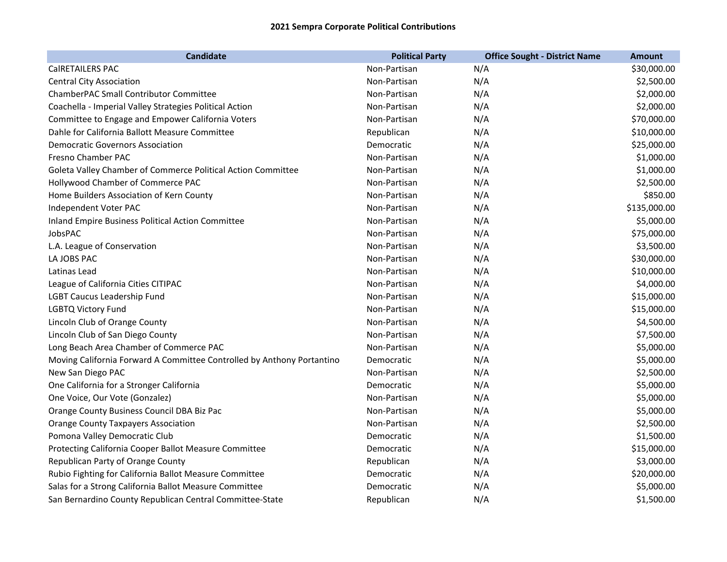| <b>Candidate</b>                                                       | <b>Political Party</b> | <b>Office Sought - District Name</b> | <b>Amount</b> |
|------------------------------------------------------------------------|------------------------|--------------------------------------|---------------|
| CalRETAILERS PAC                                                       | Non-Partisan           | N/A                                  | \$30,000.00   |
| <b>Central City Association</b>                                        | Non-Partisan           | N/A                                  | \$2,500.00    |
| ChamberPAC Small Contributor Committee                                 | Non-Partisan           | N/A                                  | \$2,000.00    |
| Coachella - Imperial Valley Strategies Political Action                | Non-Partisan           | N/A                                  | \$2,000.00    |
| Committee to Engage and Empower California Voters                      | Non-Partisan           | N/A                                  | \$70,000.00   |
| Dahle for California Ballott Measure Committee                         | Republican             | N/A                                  | \$10,000.00   |
| <b>Democratic Governors Association</b>                                | Democratic             | N/A                                  | \$25,000.00   |
| Fresno Chamber PAC                                                     | Non-Partisan           | N/A                                  | \$1,000.00    |
| Goleta Valley Chamber of Commerce Political Action Committee           | Non-Partisan           | N/A                                  | \$1,000.00    |
| Hollywood Chamber of Commerce PAC                                      | Non-Partisan           | N/A                                  | \$2,500.00    |
| Home Builders Association of Kern County                               | Non-Partisan           | N/A                                  | \$850.00      |
| Independent Voter PAC                                                  | Non-Partisan           | N/A                                  | \$135,000.00  |
| Inland Empire Business Political Action Committee                      | Non-Partisan           | N/A                                  | \$5,000.00    |
| JobsPAC                                                                | Non-Partisan           | N/A                                  | \$75,000.00   |
| L.A. League of Conservation                                            | Non-Partisan           | N/A                                  | \$3,500.00    |
| LA JOBS PAC                                                            | Non-Partisan           | N/A                                  | \$30,000.00   |
| Latinas Lead                                                           | Non-Partisan           | N/A                                  | \$10,000.00   |
| League of California Cities CITIPAC                                    | Non-Partisan           | N/A                                  | \$4,000.00    |
| <b>LGBT Caucus Leadership Fund</b>                                     | Non-Partisan           | N/A                                  | \$15,000.00   |
| <b>LGBTQ Victory Fund</b>                                              | Non-Partisan           | N/A                                  | \$15,000.00   |
| Lincoln Club of Orange County                                          | Non-Partisan           | N/A                                  | \$4,500.00    |
| Lincoln Club of San Diego County                                       | Non-Partisan           | N/A                                  | \$7,500.00    |
| Long Beach Area Chamber of Commerce PAC                                | Non-Partisan           | N/A                                  | \$5,000.00    |
| Moving California Forward A Committee Controlled by Anthony Portantino | Democratic             | N/A                                  | \$5,000.00    |
| New San Diego PAC                                                      | Non-Partisan           | N/A                                  | \$2,500.00    |
| One California for a Stronger California                               | Democratic             | N/A                                  | \$5,000.00    |
| One Voice, Our Vote (Gonzalez)                                         | Non-Partisan           | N/A                                  | \$5,000.00    |
| Orange County Business Council DBA Biz Pac                             | Non-Partisan           | N/A                                  | \$5,000.00    |
| <b>Orange County Taxpayers Association</b>                             | Non-Partisan           | N/A                                  | \$2,500.00    |
| Pomona Valley Democratic Club                                          | Democratic             | N/A                                  | \$1,500.00    |
| Protecting California Cooper Ballot Measure Committee                  | Democratic             | N/A                                  | \$15,000.00   |
| Republican Party of Orange County                                      | Republican             | N/A                                  | \$3,000.00    |
| Rubio Fighting for California Ballot Measure Committee                 | Democratic             | N/A                                  | \$20,000.00   |
| Salas for a Strong California Ballot Measure Committee                 | Democratic             | N/A                                  | \$5,000.00    |
| San Bernardino County Republican Central Committee-State               | Republican             | N/A                                  | \$1,500.00    |